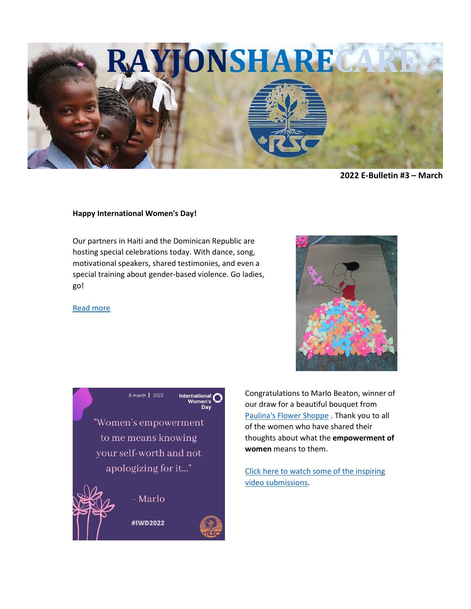

**2022 E-Bulletin #3 – March** 

## **Happy International Women's Day!**

Our partners in Haiti and the Dominican Republic are hosting special celebrations today. With dance, song, motivational speakers, shared testimonies, and even a special training about gender-based violence. Go ladies, go!

## [Read more](https://rayjon.us10.list-manage.com/track/click?u=26a802bf5fed5b96d3ff31194&id=741c79811e&e=c1338905bf)





Congratulations to Marlo Beaton, winner of our draw for a beautiful bouquet from [Paulina's Flower Shoppe](https://rayjon.us10.list-manage.com/track/click?u=26a802bf5fed5b96d3ff31194&id=5a6808283e&e=c1338905bf) . Thank you to all of the women who have shared their thoughts about what the **empowerment of women** means to them.

[Click here to watch some of the inspiring](https://rayjon.us10.list-manage.com/track/click?u=26a802bf5fed5b96d3ff31194&id=48bb419dd8&e=c1338905bf)  [video submissions.](https://rayjon.us10.list-manage.com/track/click?u=26a802bf5fed5b96d3ff31194&id=48bb419dd8&e=c1338905bf)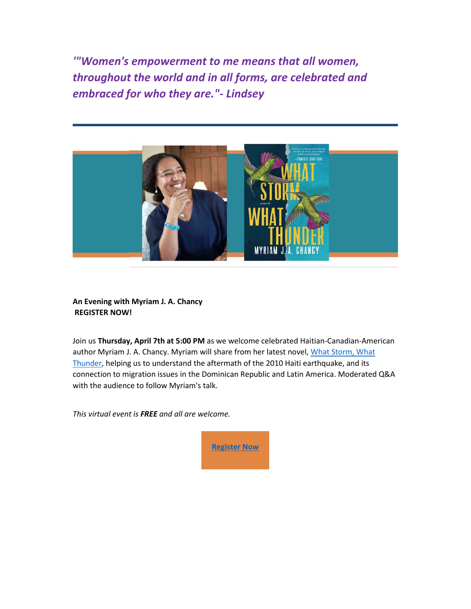*'"Women's empowerment to me means that all women, throughout the world and in all forms, are celebrated and embraced for who they are."- Lindsey*



**An Evening with Myriam J. A. Chancy REGISTER NOW!**

Join us **Thursday, April 7th at 5:00 PM** as we welcome celebrated Haitian-Canadian-American author Myriam J. A. Chancy. Myriam will share from her latest novel, [What Storm, What](https://rayjon.us10.list-manage.com/track/click?u=26a802bf5fed5b96d3ff31194&id=bee6bc0b13&e=c1338905bf)  [Thunder,](https://rayjon.us10.list-manage.com/track/click?u=26a802bf5fed5b96d3ff31194&id=bee6bc0b13&e=c1338905bf) helping us to understand the aftermath of the 2010 Haiti earthquake, and its connection to migration issues in the Dominican Republic and Latin America. Moderated Q&A with the audience to follow Myriam's talk.

*This virtual event is FREE and all are welcome.*

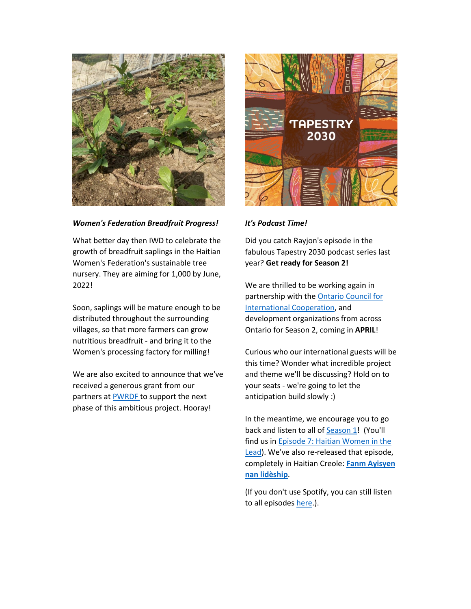

*Women's Federation Breadfruit Progress!*

What better day then IWD to celebrate the growth of breadfruit saplings in the Haitian Women's Federation's sustainable tree nursery. They are aiming for 1,000 by June, 2022!

Soon, saplings will be mature enough to be distributed throughout the surrounding villages, so that more farmers can grow nutritious breadfruit - and bring it to the Women's processing factory for milling!

We are also excited to announce that we've received a generous grant from our partners at **[PWRDF](https://rayjon.us10.list-manage.com/track/click?u=26a802bf5fed5b96d3ff31194&id=7c2317c9ab&e=c1338905bf)** to support the next phase of this ambitious project. Hooray!



## *It's Podcast Time!*

Did you catch Rayjon's episode in the fabulous Tapestry 2030 podcast series last year? **Get ready for Season 2!**

We are thrilled to be working again in partnership with the [Ontario Council for](https://rayjon.us10.list-manage.com/track/click?u=26a802bf5fed5b96d3ff31194&id=f2908e5d3d&e=c1338905bf)  [International Cooperation,](https://rayjon.us10.list-manage.com/track/click?u=26a802bf5fed5b96d3ff31194&id=f2908e5d3d&e=c1338905bf) and development organizations from across Ontario for Season 2, coming in **APRIL**!

Curious who our international guests will be this time? Wonder what incredible project and theme we'll be discussing? Hold on to your seats - we're going to let the anticipation build slowly :)

In the meantime, we encourage you to go back and listen to all of **Season 1!** (You'll find us in [Episode 7: Haitian Women in the](https://rayjon.us10.list-manage.com/track/click?u=26a802bf5fed5b96d3ff31194&id=a872e4c07a&e=c1338905bf)  [Lead\)](https://rayjon.us10.list-manage.com/track/click?u=26a802bf5fed5b96d3ff31194&id=a872e4c07a&e=c1338905bf). We've also re-released that episode, completely in Haitian Creole: **[Fanm Ayisyen](https://rayjon.us10.list-manage.com/track/click?u=26a802bf5fed5b96d3ff31194&id=d89f4966fd&e=c1338905bf)  [nan lidèship](https://rayjon.us10.list-manage.com/track/click?u=26a802bf5fed5b96d3ff31194&id=d89f4966fd&e=c1338905bf)**.

(If you don't use Spotify, you can still listen to all episode[s here.](https://rayjon.us10.list-manage.com/track/click?u=26a802bf5fed5b96d3ff31194&id=1781890f2b&e=c1338905bf)).